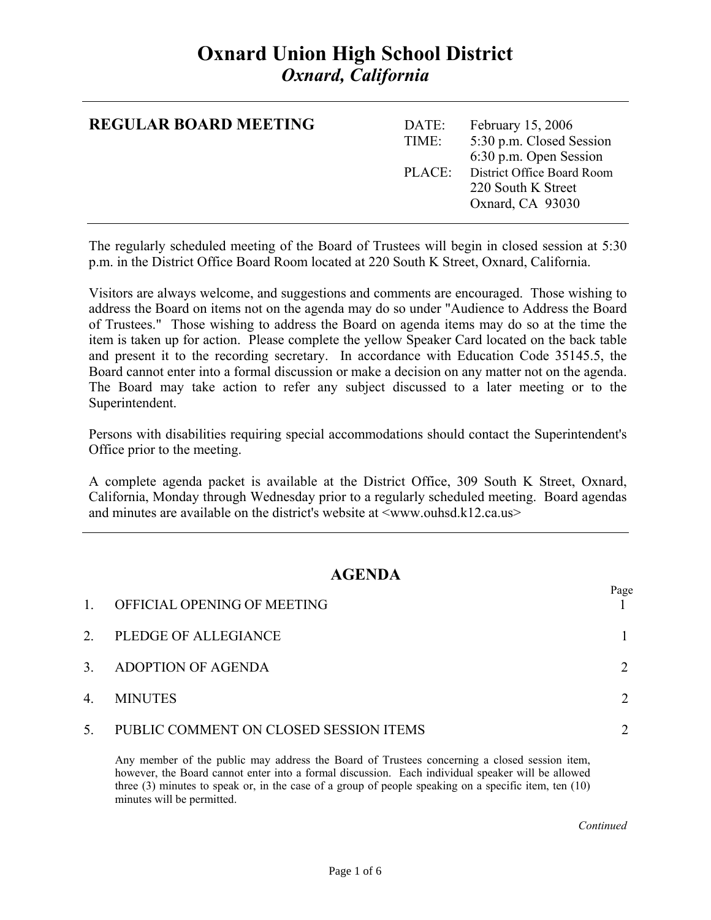# **Oxnard Union High School District**  *Oxnard, California*

| <b>REGULAR BOARD MEETING</b> | DATE:<br>TIME: | February 15, 2006<br>5:30 p.m. Closed Session<br>6:30 p.m. Open Session     |
|------------------------------|----------------|-----------------------------------------------------------------------------|
|                              |                | PLACE: District Office Board Room<br>220 South K Street<br>Oxnard, CA 93030 |

The regularly scheduled meeting of the Board of Trustees will begin in closed session at 5:30 p.m. in the District Office Board Room located at 220 South K Street, Oxnard, California.

Visitors are always welcome, and suggestions and comments are encouraged. Those wishing to address the Board on items not on the agenda may do so under "Audience to Address the Board of Trustees." Those wishing to address the Board on agenda items may do so at the time the item is taken up for action. Please complete the yellow Speaker Card located on the back table and present it to the recording secretary. In accordance with Education Code 35145.5, the Board cannot enter into a formal discussion or make a decision on any matter not on the agenda. The Board may take action to refer any subject discussed to a later meeting or to the Superintendent.

Persons with disabilities requiring special accommodations should contact the Superintendent's Office prior to the meeting.

A complete agenda packet is available at the District Office, 309 South K Street, Oxnard, California, Monday through Wednesday prior to a regularly scheduled meeting. Board agendas and minutes are available on the district's website at  $\langle$ www.ouhsd.k12.ca.us $>$ 

### **AGENDA**

| $\mathbf{1}$ | OFFICIAL OPENING OF MEETING            | Page |
|--------------|----------------------------------------|------|
| 2.           | PLEDGE OF ALLEGIANCE                   |      |
| 3.           | ADOPTION OF AGENDA                     |      |
| 4.           | <b>MINUTES</b>                         |      |
| 5.           | PUBLIC COMMENT ON CLOSED SESSION ITEMS |      |

Any member of the public may address the Board of Trustees concerning a closed session item, however, the Board cannot enter into a formal discussion. Each individual speaker will be allowed three (3) minutes to speak or, in the case of a group of people speaking on a specific item, ten (10) minutes will be permitted.

*Continued Continued*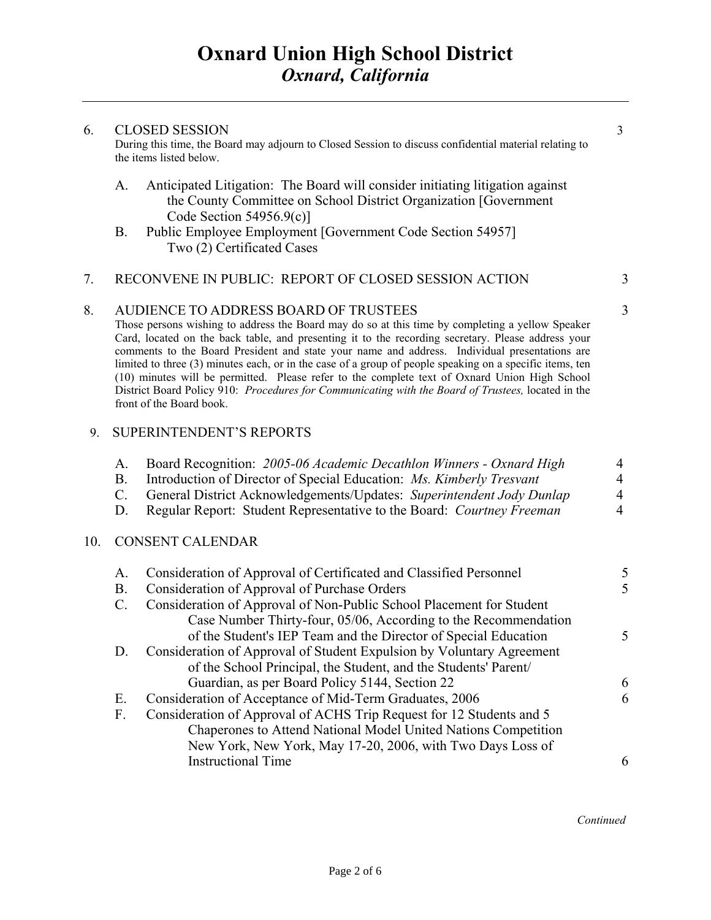#### 6. CLOSED SESSION 3

During this time, the Board may adjourn to Closed Session to discuss confidential material relating to the items listed below.

- A. Anticipated Litigation: The Board will consider initiating litigation against the County Committee on School District Organization [Government Code Section 54956.9(c)]
- B. Public Employee Employment [Government Code Section 54957] Two (2) Certificated Cases

#### 7. RECONVENE IN PUBLIC: REPORT OF CLOSED SESSION ACTION 3

#### 8. AUDIENCE TO ADDRESS BOARD OF TRUSTEES 3

Those persons wishing to address the Board may do so at this time by completing a yellow Speaker Card, located on the back table, and presenting it to the recording secretary. Please address your comments to the Board President and state your name and address. Individual presentations are limited to three (3) minutes each, or in the case of a group of people speaking on a specific items, ten (10) minutes will be permitted. Please refer to the complete text of Oxnard Union High School District Board Policy 910: *Procedures for Communicating with the Board of Trustees,* located in the front of the Board book.

#### 9. SUPERINTENDENT'S REPORTS

|     | А.<br><b>B.</b><br>C.<br>D. | Board Recognition: 2005-06 Academic Decathlon Winners - Oxnard High<br>Introduction of Director of Special Education: Ms. Kimberly Tresvant<br>General District Acknowledgements/Updates: Superintendent Jody Dunlap<br>Regular Report: Student Representative to the Board: Courtney Freeman |               |
|-----|-----------------------------|-----------------------------------------------------------------------------------------------------------------------------------------------------------------------------------------------------------------------------------------------------------------------------------------------|---------------|
| 10. |                             | <b>CONSENT CALENDAR</b>                                                                                                                                                                                                                                                                       |               |
|     | А.                          | Consideration of Approval of Certificated and Classified Personnel                                                                                                                                                                                                                            | 5             |
|     | <b>B.</b>                   | Consideration of Approval of Purchase Orders                                                                                                                                                                                                                                                  | 5             |
|     | C.                          | Consideration of Approval of Non-Public School Placement for Student                                                                                                                                                                                                                          |               |
|     |                             | Case Number Thirty-four, 05/06, According to the Recommendation                                                                                                                                                                                                                               |               |
|     |                             | of the Student's IEP Team and the Director of Special Education                                                                                                                                                                                                                               | $\mathcal{F}$ |
|     | D.                          | Consideration of Approval of Student Expulsion by Voluntary Agreement                                                                                                                                                                                                                         |               |
|     |                             | of the School Principal, the Student, and the Students' Parent/                                                                                                                                                                                                                               |               |
|     |                             | Guardian, as per Board Policy 5144, Section 22                                                                                                                                                                                                                                                | 6             |
|     | Е.                          | Consideration of Acceptance of Mid-Term Graduates, 2006                                                                                                                                                                                                                                       | 6             |
|     | F.                          | Consideration of Approval of ACHS Trip Request for 12 Students and 5                                                                                                                                                                                                                          |               |
|     |                             | Chaperones to Attend National Model United Nations Competition                                                                                                                                                                                                                                |               |

New York, New York, May 17-20, 2006, with Two Days Loss of

Instructional Time 6

 *Continued*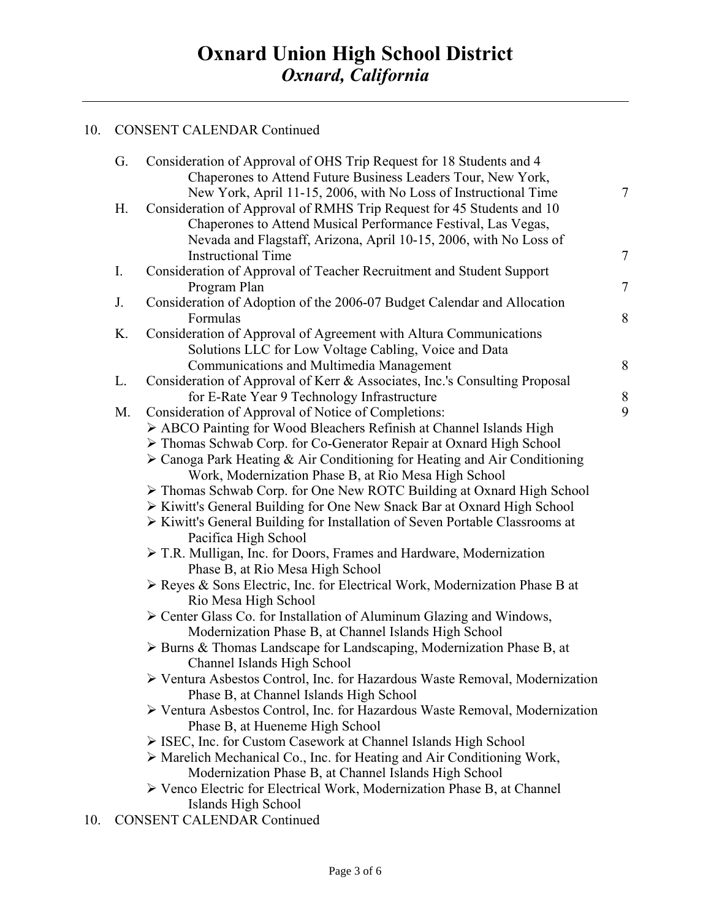## 10. CONSENT CALENDAR Continued

|     | G. | Consideration of Approval of OHS Trip Request for 18 Students and 4                      |                |
|-----|----|------------------------------------------------------------------------------------------|----------------|
|     |    | Chaperones to Attend Future Business Leaders Tour, New York,                             |                |
|     |    | New York, April 11-15, 2006, with No Loss of Instructional Time                          | $\tau$         |
|     | Н. | Consideration of Approval of RMHS Trip Request for 45 Students and 10                    |                |
|     |    | Chaperones to Attend Musical Performance Festival, Las Vegas,                            |                |
|     |    | Nevada and Flagstaff, Arizona, April 10-15, 2006, with No Loss of                        |                |
|     |    | <b>Instructional Time</b>                                                                | $\tau$         |
|     | I. | Consideration of Approval of Teacher Recruitment and Student Support<br>Program Plan     | $\overline{7}$ |
|     | J. | Consideration of Adoption of the 2006-07 Budget Calendar and Allocation                  |                |
|     |    | Formulas                                                                                 | 8              |
|     | K. | Consideration of Approval of Agreement with Altura Communications                        |                |
|     |    | Solutions LLC for Low Voltage Cabling, Voice and Data                                    |                |
|     |    | Communications and Multimedia Management                                                 | 8              |
|     | L. | Consideration of Approval of Kerr & Associates, Inc.'s Consulting Proposal               |                |
|     |    | for E-Rate Year 9 Technology Infrastructure                                              | $8\,$          |
|     | M. | Consideration of Approval of Notice of Completions:                                      | 9              |
|     |    | > ABCO Painting for Wood Bleachers Refinish at Channel Islands High                      |                |
|     |    | > Thomas Schwab Corp. for Co-Generator Repair at Oxnard High School                      |                |
|     |    | $\triangleright$ Canoga Park Heating & Air Conditioning for Heating and Air Conditioning |                |
|     |    | Work, Modernization Phase B, at Rio Mesa High School                                     |                |
|     |    | > Thomas Schwab Corp. for One New ROTC Building at Oxnard High School                    |                |
|     |    | > Kiwitt's General Building for One New Snack Bar at Oxnard High School                  |                |
|     |    | > Kiwitt's General Building for Installation of Seven Portable Classrooms at             |                |
|     |    | Pacifica High School                                                                     |                |
|     |    | $\triangleright$ T.R. Mulligan, Inc. for Doors, Frames and Hardware, Modernization       |                |
|     |    | Phase B, at Rio Mesa High School                                                         |                |
|     |    | > Reyes & Sons Electric, Inc. for Electrical Work, Modernization Phase B at              |                |
|     |    | Rio Mesa High School                                                                     |                |
|     |    | > Center Glass Co. for Installation of Aluminum Glazing and Windows,                     |                |
|     |    | Modernization Phase B, at Channel Islands High School                                    |                |
|     |    | > Burns & Thomas Landscape for Landscaping, Modernization Phase B, at                    |                |
|     |    | Channel Islands High School                                                              |                |
|     |    | > Ventura Asbestos Control, Inc. for Hazardous Waste Removal, Modernization              |                |
|     |    | Phase B, at Channel Islands High School                                                  |                |
|     |    | ≻ Ventura Asbestos Control, Inc. for Hazardous Waste Removal, Modernization              |                |
|     |    | Phase B, at Hueneme High School                                                          |                |
|     |    | > ISEC, Inc. for Custom Casework at Channel Islands High School                          |                |
|     |    | > Marelich Mechanical Co., Inc. for Heating and Air Conditioning Work,                   |                |
|     |    | Modernization Phase B, at Channel Islands High School                                    |                |
|     |    | $\triangleright$ Venco Electric for Electrical Work, Modernization Phase B, at Channel   |                |
|     |    | Islands High School                                                                      |                |
| 10. |    | <b>CONSENT CALENDAR Continued</b>                                                        |                |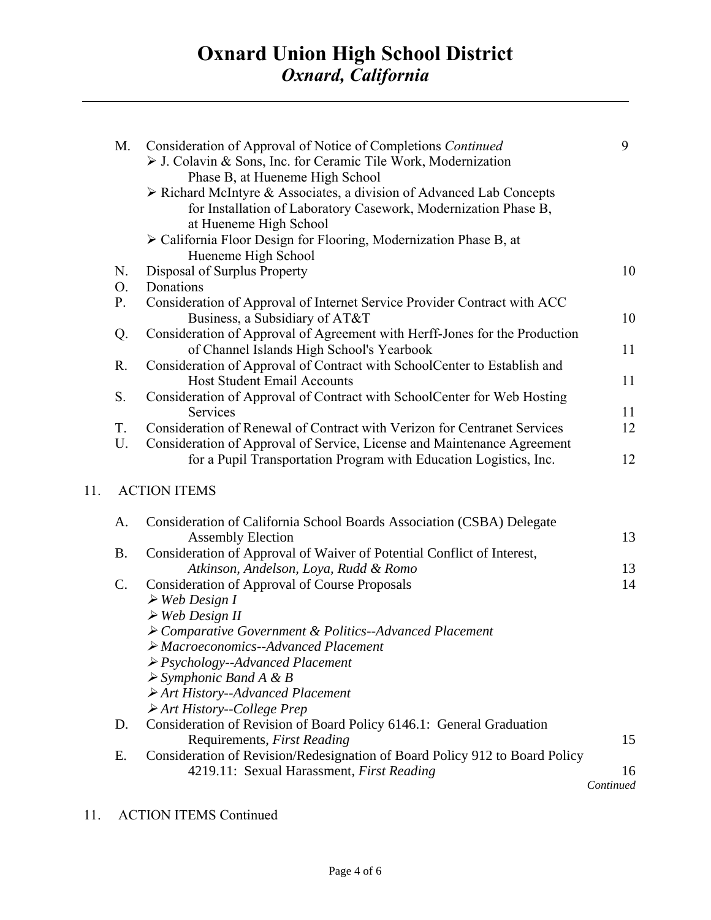|     | М.        | Consideration of Approval of Notice of Completions Continued<br>> J. Colavin & Sons, Inc. for Ceramic Tile Work, Modernization<br>Phase B, at Hueneme High School                | 9         |
|-----|-----------|----------------------------------------------------------------------------------------------------------------------------------------------------------------------------------|-----------|
|     |           | $\triangleright$ Richard McIntyre & Associates, a division of Advanced Lab Concepts<br>for Installation of Laboratory Casework, Modernization Phase B,<br>at Hueneme High School |           |
|     |           | > California Floor Design for Flooring, Modernization Phase B, at<br>Hueneme High School                                                                                         |           |
|     | N.        | Disposal of Surplus Property                                                                                                                                                     | 10        |
|     | O.        | Donations                                                                                                                                                                        |           |
|     | P.        | Consideration of Approval of Internet Service Provider Contract with ACC<br>Business, a Subsidiary of AT&T                                                                       | 10        |
|     | Q.        | Consideration of Approval of Agreement with Herff-Jones for the Production                                                                                                       |           |
|     |           | of Channel Islands High School's Yearbook                                                                                                                                        | 11        |
|     | R.        | Consideration of Approval of Contract with SchoolCenter to Establish and                                                                                                         |           |
|     |           | <b>Host Student Email Accounts</b>                                                                                                                                               | 11        |
|     | S.        | Consideration of Approval of Contract with SchoolCenter for Web Hosting                                                                                                          |           |
|     |           | Services                                                                                                                                                                         | 11        |
|     | T.        | Consideration of Renewal of Contract with Verizon for Centranet Services                                                                                                         | 12        |
|     | U.        | Consideration of Approval of Service, License and Maintenance Agreement<br>for a Pupil Transportation Program with Education Logistics, Inc.                                     | 12        |
| 11. |           | <b>ACTION ITEMS</b>                                                                                                                                                              |           |
|     | A.        | Consideration of California School Boards Association (CSBA) Delegate<br><b>Assembly Election</b>                                                                                | 13        |
|     | <b>B.</b> | Consideration of Approval of Waiver of Potential Conflict of Interest,                                                                                                           |           |
|     |           | Atkinson, Andelson, Loya, Rudd & Romo                                                                                                                                            | 13        |
|     | C.        | <b>Consideration of Approval of Course Proposals</b>                                                                                                                             | 14        |
|     |           | $\triangleright$ Web Design I                                                                                                                                                    |           |
|     |           | $\triangleright$ Web Design II                                                                                                                                                   |           |
|     |           | ▶ Comparative Government & Politics--Advanced Placement                                                                                                                          |           |
|     |           | $\triangleright$ Macroeconomics--Advanced Placement                                                                                                                              |           |
|     |           | $\triangleright$ Psychology--Advanced Placement                                                                                                                                  |           |
|     |           | $\triangleright$ Symphonic Band A & B                                                                                                                                            |           |
|     |           | $\triangleright$ Art History--Advanced Placement                                                                                                                                 |           |
|     |           | $\triangleright$ Art History--College Prep                                                                                                                                       |           |
|     | D.        | Consideration of Revision of Board Policy 6146.1: General Graduation                                                                                                             |           |
|     |           | Requirements, First Reading                                                                                                                                                      | 15        |
|     | E.        | Consideration of Revision/Redesignation of Board Policy 912 to Board Policy                                                                                                      |           |
|     |           | 4219.11: Sexual Harassment, First Reading                                                                                                                                        | 16        |
|     |           |                                                                                                                                                                                  | Continued |

11. ACTION ITEMS Continued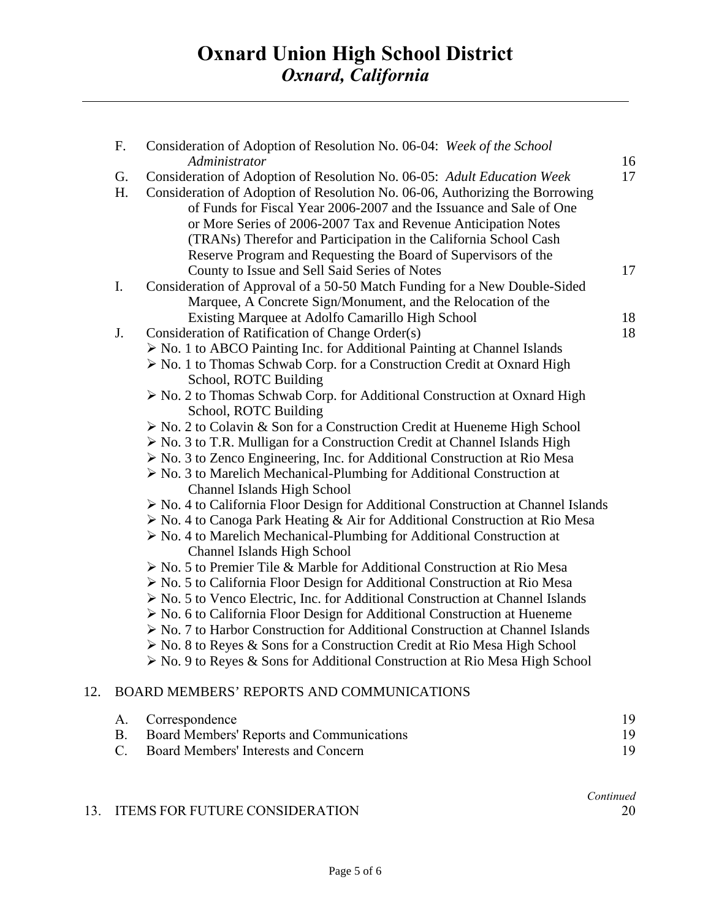|     | $F_{\cdot}$ | Consideration of Adoption of Resolution No. 06-04: Week of the School<br>Administrator                                                                                                                                                                                                                                                                                                                                                 | 16 |
|-----|-------------|----------------------------------------------------------------------------------------------------------------------------------------------------------------------------------------------------------------------------------------------------------------------------------------------------------------------------------------------------------------------------------------------------------------------------------------|----|
|     | G.<br>H.    | Consideration of Adoption of Resolution No. 06-05: Adult Education Week<br>Consideration of Adoption of Resolution No. 06-06, Authorizing the Borrowing<br>of Funds for Fiscal Year 2006-2007 and the Issuance and Sale of One<br>or More Series of 2006-2007 Tax and Revenue Anticipation Notes<br>(TRANs) Therefor and Participation in the California School Cash<br>Reserve Program and Requesting the Board of Supervisors of the | 17 |
|     |             | County to Issue and Sell Said Series of Notes                                                                                                                                                                                                                                                                                                                                                                                          | 17 |
|     | I.          | Consideration of Approval of a 50-50 Match Funding for a New Double-Sided<br>Marquee, A Concrete Sign/Monument, and the Relocation of the                                                                                                                                                                                                                                                                                              |    |
|     |             | Existing Marquee at Adolfo Camarillo High School                                                                                                                                                                                                                                                                                                                                                                                       | 18 |
|     | J.          | Consideration of Ratification of Change Order(s)                                                                                                                                                                                                                                                                                                                                                                                       | 18 |
|     |             | $\triangleright$ No. 1 to ABCO Painting Inc. for Additional Painting at Channel Islands<br>$\triangleright$ No. 1 to Thomas Schwab Corp. for a Construction Credit at Oxnard High<br>School, ROTC Building                                                                                                                                                                                                                             |    |
|     |             | > No. 2 to Thomas Schwab Corp. for Additional Construction at Oxnard High<br>School, ROTC Building                                                                                                                                                                                                                                                                                                                                     |    |
|     |             | $\triangleright$ No. 2 to Colavin & Son for a Construction Credit at Hueneme High School                                                                                                                                                                                                                                                                                                                                               |    |
|     |             | $\triangleright$ No. 3 to T.R. Mulligan for a Construction Credit at Channel Islands High                                                                                                                                                                                                                                                                                                                                              |    |
|     |             | $\triangleright$ No. 3 to Zenco Engineering, Inc. for Additional Construction at Rio Mesa                                                                                                                                                                                                                                                                                                                                              |    |
|     |             | $\triangleright$ No. 3 to Marelich Mechanical-Plumbing for Additional Construction at<br><b>Channel Islands High School</b>                                                                                                                                                                                                                                                                                                            |    |
|     |             | $\triangleright$ No. 4 to California Floor Design for Additional Construction at Channel Islands                                                                                                                                                                                                                                                                                                                                       |    |
|     |             | > No. 4 to Canoga Park Heating & Air for Additional Construction at Rio Mesa                                                                                                                                                                                                                                                                                                                                                           |    |
|     |             | $\triangleright$ No. 4 to Marelich Mechanical-Plumbing for Additional Construction at<br><b>Channel Islands High School</b>                                                                                                                                                                                                                                                                                                            |    |
|     |             | > No. 5 to Premier Tile & Marble for Additional Construction at Rio Mesa                                                                                                                                                                                                                                                                                                                                                               |    |
|     |             | $\triangleright$ No. 5 to California Floor Design for Additional Construction at Rio Mesa                                                                                                                                                                                                                                                                                                                                              |    |
|     |             | $\triangleright$ No. 5 to Venco Electric, Inc. for Additional Construction at Channel Islands                                                                                                                                                                                                                                                                                                                                          |    |
|     |             | $\triangleright$ No. 6 to California Floor Design for Additional Construction at Hueneme                                                                                                                                                                                                                                                                                                                                               |    |
|     |             | > No. 7 to Harbor Construction for Additional Construction at Channel Islands                                                                                                                                                                                                                                                                                                                                                          |    |
|     |             | $\triangleright$ No. 8 to Reyes & Sons for a Construction Credit at Rio Mesa High School<br>> No. 9 to Reyes & Sons for Additional Construction at Rio Mesa High School                                                                                                                                                                                                                                                                |    |
| 12. |             | BOARD MEMBERS' REPORTS AND COMMUNICATIONS                                                                                                                                                                                                                                                                                                                                                                                              |    |
|     | A.          | Correspondence                                                                                                                                                                                                                                                                                                                                                                                                                         | 19 |
|     | <b>B.</b>   | Board Members' Reports and Communications                                                                                                                                                                                                                                                                                                                                                                                              | 19 |
|     | C.          | Board Members' Interests and Concern                                                                                                                                                                                                                                                                                                                                                                                                   | 19 |
|     |             |                                                                                                                                                                                                                                                                                                                                                                                                                                        |    |

## 13. ITEMS FOR FUTURE CONSIDERATION 20